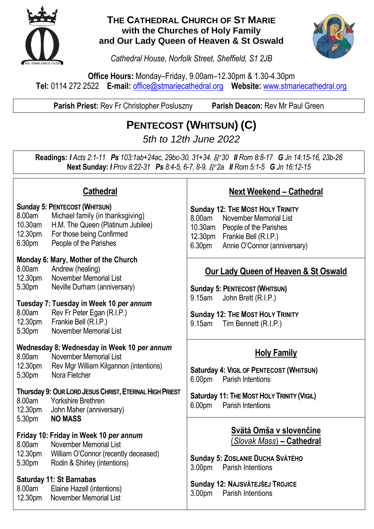

#### **THE CATHEDRAL CHURCH OF ST MARIE with the Churches of Holy Family and Our Lady Queen of Heaven & St Oswald**



*Cathedral House, Norfolk Street, Sheffield, S1 2JB*

**Office Hours:** Monday–Friday, 9.00am–12.30pm & 1.30-4.30pm **Tel:** 0114 272 2522 **E-mail:** [office@stmariecathedral.org](mailto:office@stmariecathedral.org) **Website:** [www.stmariecathedral.org](http://www.stmariecathedral.org/)

**Parish Priest:** Rev Fr Christopher Posluszny **Parish Deacon:** Rev Mr Paul Green

## **PENTECOST (WHITSUN) (C)**

*5th to 12th June 2022*

**Readings:** *I Acts 2:1-11 Ps 103:1ab+24ac, 29bc-30, 31+34.* R *30 II Rom 8:8-17 G Jn 14:15-16, 23b-26* **Next Sunday:** *I Prov 8:22-31 Ps 8:4-5, 6-7, 8-9.* R *2a II Rom 5:1-5 G Jn 16:12-15*

| <b>Cathedral</b>                                                                                                                                                 |                                                                                                                                                                                                                                                       | <b>Next Weekend - Cathedral</b>                                                                                                                                                                         |
|------------------------------------------------------------------------------------------------------------------------------------------------------------------|-------------------------------------------------------------------------------------------------------------------------------------------------------------------------------------------------------------------------------------------------------|---------------------------------------------------------------------------------------------------------------------------------------------------------------------------------------------------------|
| 8.00am<br>10.30am<br>12.30pm<br>6.30pm                                                                                                                           | <b>Sunday 5: PENTECOST (WHITSUN)</b><br>Michael family (in thanksgiving)<br>H.M. The Queen (Platinum Jubilee)<br>For those being Confirmed<br>People of the Parishes                                                                                  | <b>Sunday 12: THE MOST HOLY TRINITY</b><br>8.00am<br>November Memorial List<br>10.30am<br>People of the Parishes<br>12.30pm Frankie Bell (R.I.P.)<br>6.30 <sub>pm</sub><br>Annie O'Connor (anniversary) |
| 8.00am<br>12.30pm<br>5.30pm<br>8.00am<br>12.30pm<br>5.30pm                                                                                                       | Monday 6: Mary, Mother of the Church<br>Andrew (healing)<br><b>November Memorial List</b><br>Neville Durham (anniversary)<br>Tuesday 7: Tuesday in Week 10 per annum<br>Rev Fr Peter Egan (R.I.P.)<br>Frankie Bell (R.I.P.)<br>November Memorial List | <b>Our Lady Queen of Heaven &amp; St Oswald</b><br><b>Sunday 5: PENTECOST (WHITSUN)</b><br>John Brett (R.I.P.)<br>9.15am<br><b>Sunday 12: THE MOST HOLY TRINITY</b><br>9.15am<br>Tim Bennett (R.I.P.)   |
| 8.00am<br>12.30pm<br>5.30pm                                                                                                                                      | Wednesday 8: Wednesday in Week 10 per annum<br><b>November Memorial List</b><br>Rev Mgr William Kilgannon (intentions)<br>Nora Fletcher                                                                                                               | <b>Holy Family</b><br>Saturday 4: VIGIL OF PENTECOST (WHITSUN)<br><b>Parish Intentions</b><br>6.00 <sub>pm</sub>                                                                                        |
| Thursday 9: OUR LORD JESUS CHRIST, ETERNAL HIGH PRIEST<br>8.00am<br><b>Yorkshire Brethren</b><br>12.30pm<br>John Maher (anniversary)<br><b>NO MASS</b><br>5.30pm |                                                                                                                                                                                                                                                       | Saturday 11: THE MOST HOLY TRINITY (VIGIL)<br>6.00pm<br><b>Parish Intentions</b>                                                                                                                        |
| 8.00am<br>12.30pm<br>5.30pm                                                                                                                                      | Friday 10: Friday in Week 10 per annum<br><b>November Memorial List</b><br>William O'Connor (recently deceased)<br>Rodin & Shirley (intentions)                                                                                                       | Svätá Omša v slovenčine<br>(Slovak Mass) - Cathedral<br>Sunday 5: ZOSLANIE DUCHA SVÄTÉHO<br><b>Parish Intentions</b><br>3.00 <sub>pm</sub>                                                              |
| 8.00am<br>12.30pm                                                                                                                                                | <b>Saturday 11: St Barnabas</b><br>Elaine Hazell (intentions)<br><b>November Memorial List</b>                                                                                                                                                        | Sunday 12: NAJSVÄTEJŠEJ TROJICE<br>3.00 <sub>pm</sub><br><b>Parish Intentions</b>                                                                                                                       |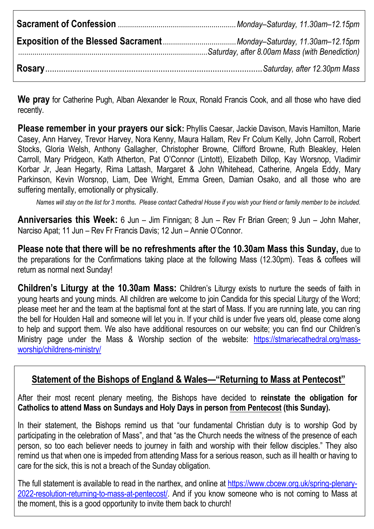**We pray** for Catherine Pugh, Alban Alexander le Roux, Ronald Francis Cook, and all those who have died recently.

**Please remember in your prayers our sick:** Phyllis Caesar, Jackie Davison, Mavis Hamilton, Marie Casey, Ann Harvey, Trevor Harvey, Nora Kenny, Maura Hallam, Rev Fr Colum Kelly, John Carroll, Robert Stocks, Gloria Welsh, Anthony Gallagher, Christopher Browne, Clifford Browne, Ruth Bleakley, Helen Carroll, Mary Pridgeon, Kath Atherton, Pat O'Connor (Lintott), Elizabeth Dillop, Kay Worsnop, Vladimir Korbar Jr, Jean Hegarty, Rima Lattash, Margaret & John Whitehead, Catherine, Angela Eddy, Mary Parkinson, Kevin Worsnop, Liam, Dee Wright, Emma Green, Damian Osako, and all those who are suffering mentally, emotionally or physically.

*Names will stay on the list for 3 months. Please contact Cathedral House if you wish your friend or family member to be included.*

**Anniversaries this Week:** 6 Jun – Jim Finnigan; 8 Jun – Rev Fr Brian Green; 9 Jun – John Maher, Narciso Apat; 11 Jun – Rev Fr Francis Davis; 12 Jun – Annie O'Connor.

**Please note that there will be no refreshments after the 10.30am Mass this Sunday,** due to the preparations for the Confirmations taking place at the following Mass (12.30pm). Teas & coffees will return as normal next Sunday!

**Children's Liturgy at the 10.30am Mass:** Children's Liturgy exists to nurture the seeds of faith in young hearts and young minds. All children are welcome to join Candida for this special Liturgy of the Word; please meet her and the team at the baptismal font at the start of Mass. If you are running late, you can ring the bell for Houlden Hall and someone will let you in. If your child is under five years old, please come along to help and support them. We also have additional resources on our website; you can find our Children's Ministry page under the Mass & Worship section of the website: [https://stmariecathedral.org/mass](https://stmariecathedral.org/mass-worship/childrens-ministry/)[worship/childrens-ministry/](https://stmariecathedral.org/mass-worship/childrens-ministry/)

#### **Statement of the Bishops of England & Wales—"Returning to Mass at Pentecost"**

After their most recent plenary meeting, the Bishops have decided to **reinstate the obligation for Catholics to attend Mass on Sundays and Holy Days in person from Pentecost (this Sunday).**

In their statement, the Bishops remind us that "our fundamental Christian duty is to worship God by participating in the celebration of Mass", and that "as the Church needs the witness of the presence of each person, so too each believer needs to journey in faith and worship with their fellow disciples." They also remind us that when one is impeded from attending Mass for a serious reason, such as ill health or having to care for the sick, this is not a breach of the Sunday obligation.

The full statement is available to read in the narthex, and online at [https://www.cbcew.org.uk/spring-plenary-](https://www.cbcew.org.uk/spring-plenary-2022-resolution-returning-to-mass-at-pentecost/)[2022-resolution-returning-to-mass-at-pentecost/.](https://www.cbcew.org.uk/spring-plenary-2022-resolution-returning-to-mass-at-pentecost/) And if you know someone who is not coming to Mass at the moment, this is a good opportunity to invite them back to church!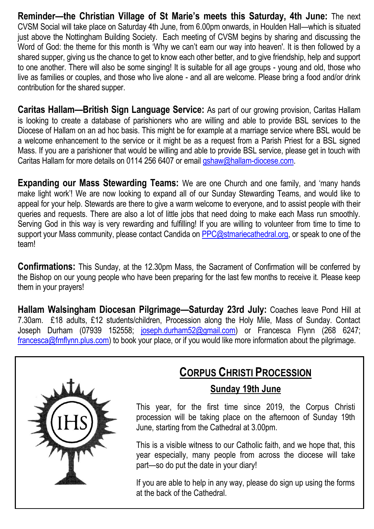**Reminder—the Christian Village of St Marie's meets this Saturday, 4th June:** The next CVSM Social will take place on Saturday 4th June, from 6.00pm onwards, in Houlden Hall—which is situated just above the Nottingham Building Society. Each meeting of CVSM begins by sharing and discussing the Word of God: the theme for this month is 'Why we can't earn our way into heaven'. It is then followed by a shared supper, giving us the chance to get to know each other better, and to give friendship, help and support to one another. There will also be some singing! It is suitable for all age groups - young and old, those who live as families or couples, and those who live alone - and all are welcome. Please bring a food and/or drink contribution for the shared supper.

**Caritas Hallam—British Sign Language Service:** As part of our growing provision, Caritas Hallam is looking to create a database of parishioners who are willing and able to provide BSL services to the Diocese of Hallam on an ad hoc basis. This might be for example at a marriage service where BSL would be a welcome enhancement to the service or it might be as a request from a Parish Priest for a BSL signed Mass. If you are a parishioner that would be willing and able to provide BSL service, please get in touch with Caritas Hallam for more details on 0114 256 6407 or email [gshaw@hallam-diocese.com.](mailto:gshaw@hallam-diocese.com)

**Expanding our Mass Stewarding Teams:** We are one Church and one family, and 'many hands make light work'! We are now looking to expand all of our Sunday Stewarding Teams, and would like to appeal for your help. Stewards are there to give a warm welcome to everyone, and to assist people with their queries and requests. There are also a lot of little jobs that need doing to make each Mass run smoothly. Serving God in this way is very rewarding and fulfilling! If you are willing to volunteer from time to time to support your Mass community, please contact Candida on [PPC@stmariecathedral.org,](mailto:PPC@stmariecathedral.org) or speak to one of the team!

**Confirmations:** This Sunday, at the 12.30pm Mass, the Sacrament of Confirmation will be conferred by the Bishop on our young people who have been preparing for the last few months to receive it. Please keep them in your prayers!

**Hallam Walsingham Diocesan Pilgrimage—Saturday 23rd July:** Coaches leave Pond Hill at 7.30am. £18 adults, £12 students/children, Procession along the Holy Mile, Mass of Sunday. Contact Joseph Durham (07939 152558; [joseph.durham52@gmail.com\)](mailto:joseph.durham52@gmail.com) or Francesca Flynn (268 6247; [francesca@fmflynn.plus.com\)](mailto:francesca@fmflynn.plus.com) to book your place, or if you would like more information about the pilgrimage.



# **CORPUS CHRISTI PROCESSION**

### **Sunday 19th June**

This year, for the first time since 2019, the Corpus Christi procession will be taking place on the afternoon of Sunday 19th June, starting from the Cathedral at 3.00pm.

This is a visible witness to our Catholic faith, and we hope that, this year especially, many people from across the diocese will take part—so do put the date in your diary!

If you are able to help in any way, please do sign up using the forms at the back of the Cathedral.